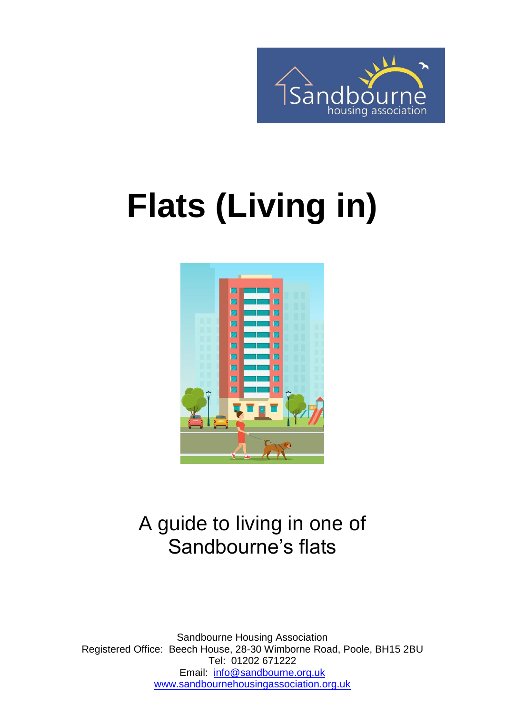

# **Flats (Living in)**



### A guide to living in one of Sandbourne's flats

Sandbourne Housing Association Registered Office: Beech House, 28-30 Wimborne Road, Poole, BH15 2BU Tel: 01202 671222 Email: [info@sandbourne.org.uk](mailto:info@sandbourne.org.uk) [www.sandbournehousingassociation.org.uk](http://www.sandbournehousingassociation.org.uk/)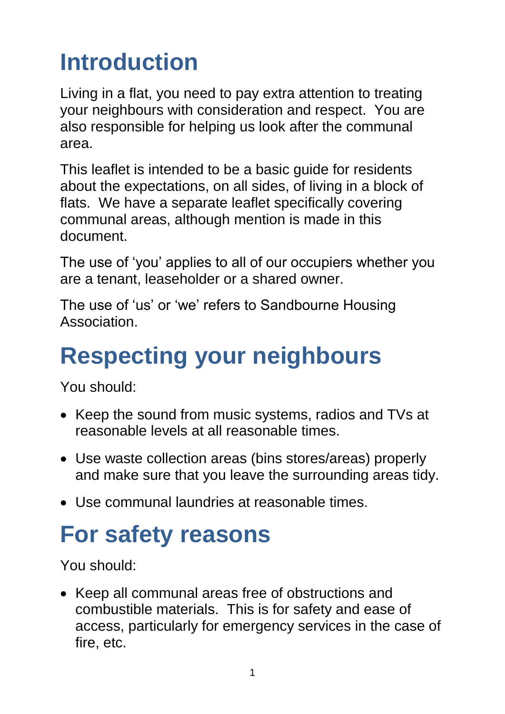# **Introduction**

Living in a flat, you need to pay extra attention to treating your neighbours with consideration and respect. You are also responsible for helping us look after the communal area.

This leaflet is intended to be a basic guide for residents about the expectations, on all sides, of living in a block of flats. We have a separate leaflet specifically covering communal areas, although mention is made in this document.

The use of 'you' applies to all of our occupiers whether you are a tenant, leaseholder or a shared owner.

The use of 'us' or 'we' refers to Sandbourne Housing **Association** 

# **Respecting your neighbours**

You should:

- Keep the sound from music systems, radios and TVs at reasonable levels at all reasonable times.
- Use waste collection areas (bins stores/areas) properly and make sure that you leave the surrounding areas tidy.
- Use communal laundries at reasonable times.

# **For safety reasons**

You should:

• Keep all communal areas free of obstructions and combustible materials. This is for safety and ease of access, particularly for emergency services in the case of fire, etc.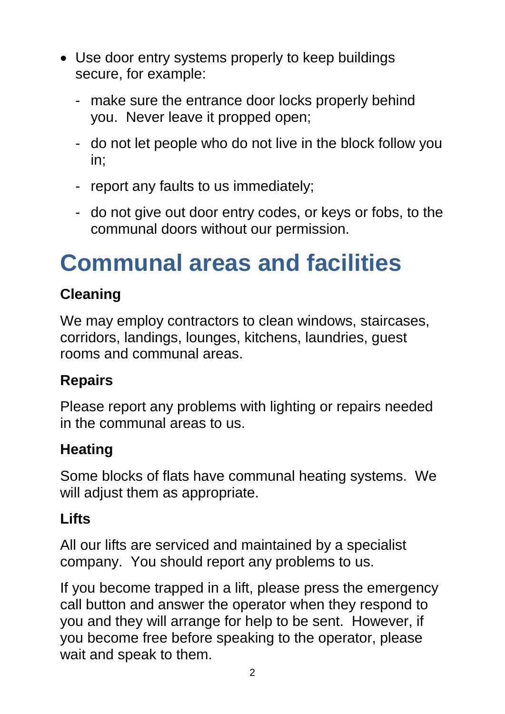- Use door entry systems properly to keep buildings secure, for example:
	- make sure the entrance door locks properly behind you. Never leave it propped open;
	- do not let people who do not live in the block follow you in;
	- report any faults to us immediately;
	- do not give out door entry codes, or keys or fobs, to the communal doors without our permission.

### **Communal areas and facilities**

#### **Cleaning**

We may employ contractors to clean windows, staircases, corridors, landings, lounges, kitchens, laundries, guest rooms and communal areas.

#### **Repairs**

Please report any problems with lighting or repairs needed in the communal areas to us.

#### **Heating**

Some blocks of flats have communal heating systems. We will adjust them as appropriate.

#### **Lifts**

All our lifts are serviced and maintained by a specialist company. You should report any problems to us.

If you become trapped in a lift, please press the emergency call button and answer the operator when they respond to you and they will arrange for help to be sent. However, if you become free before speaking to the operator, please wait and speak to them.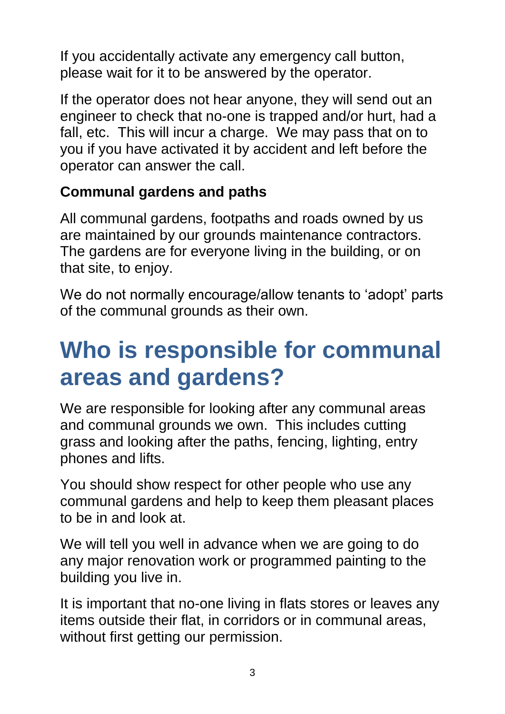If you accidentally activate any emergency call button, please wait for it to be answered by the operator.

If the operator does not hear anyone, they will send out an engineer to check that no-one is trapped and/or hurt, had a fall, etc. This will incur a charge. We may pass that on to you if you have activated it by accident and left before the operator can answer the call.

#### **Communal gardens and paths**

All communal gardens, footpaths and roads owned by us are maintained by our grounds maintenance contractors. The gardens are for everyone living in the building, or on that site, to enjoy.

We do not normally encourage/allow tenants to 'adopt' parts of the communal grounds as their own.

### **Who is responsible for communal areas and gardens?**

We are responsible for looking after any communal areas and communal grounds we own. This includes cutting grass and looking after the paths, fencing, lighting, entry phones and lifts.

You should show respect for other people who use any communal gardens and help to keep them pleasant places to be in and look at.

We will tell you well in advance when we are going to do any major renovation work or programmed painting to the building you live in.

It is important that no-one living in flats stores or leaves any items outside their flat, in corridors or in communal areas, without first getting our permission.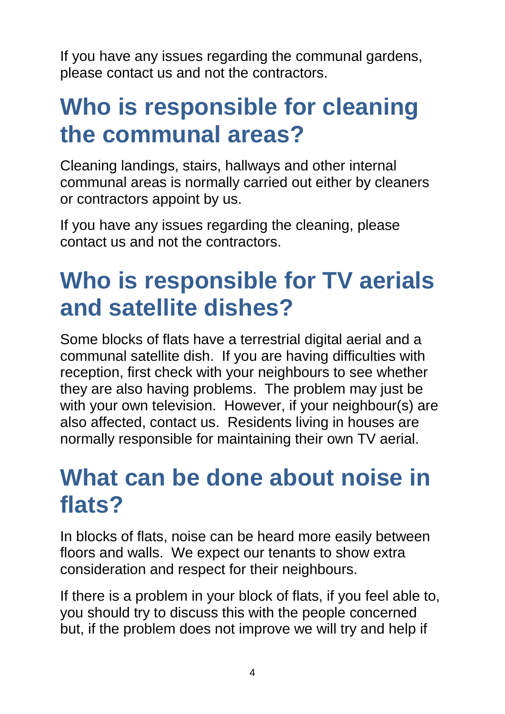If you have any issues regarding the communal gardens, please contact us and not the contractors.

### **Who is responsible for cleaning the communal areas?**

Cleaning landings, stairs, hallways and other internal communal areas is normally carried out either by cleaners or contractors appoint by us.

If you have any issues regarding the cleaning, please contact us and not the contractors.

### **Who is responsible for TV aerials and satellite dishes?**

Some blocks of flats have a terrestrial digital aerial and a communal satellite dish. If you are having difficulties with reception, first check with your neighbours to see whether they are also having problems. The problem may just be with your own television. However, if your neighbour(s) are also affected, contact us. Residents living in houses are normally responsible for maintaining their own TV aerial.

### **What can be done about noise in flats?**

In blocks of flats, noise can be heard more easily between floors and walls. We expect our tenants to show extra consideration and respect for their neighbours.

If there is a problem in your block of flats, if you feel able to, you should try to discuss this with the people concerned but, if the problem does not improve we will try and help if